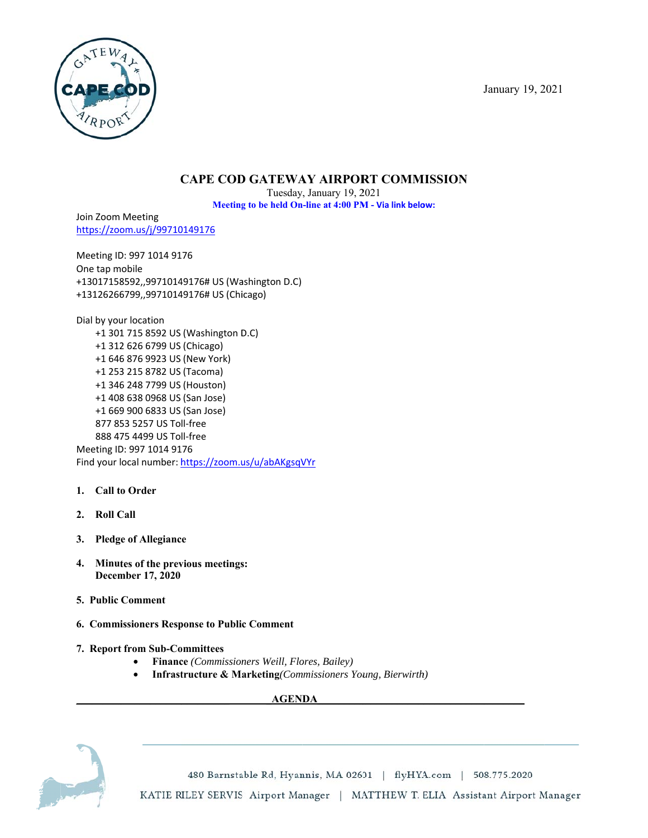January 19, 2021



# **CAPE COD GATEWAY AIRPORT COMMISSION**

Tuesday, January 19, 2021 Meeting to be held On-line at 4:00 PM - Via link below:

Join Zoom Meeting https://zoom.us/j/99710149176

Meeting ID: 997 1014 9176 One tap mobile +13017158592,,99710149176# US (Washington D.C) +13126266799,,99710149176# US (Chicago)

Dial by your location +1 301 715 8592 US (Washington D.C) +1 312 626 6799 US (Chicago) +1 646 876 9923 US (New York) +1 253 215 8782 US (Tacoma) +1 346 248 7799 US (Houston) +1 408 638 0968 US (San Jose) +1 669 900 6833 US (San Jose) 877 853 5257 US Toll-free 888 475 4499 US Toll-free Meeting ID: 997 1014 9176

Find your local number: https://zoom.us/u/abAKgsqVYr

- 1. Call to Order
- 2. Roll Call
- 3. Pledge of Allegiance
- 4. Minutes of the previous meetings: December 17, 2020
- 5. Public Comment
- 6. Commissioners Response to Public Comment
- 7. Report from Sub-Committees
	- $\bullet$ Finance (Commissioners Weill, Flores, Bailey)
	- $\bullet$ **Infrastructure & Marketing** (Commissioners Young, Bierwirth)

**AGENDA** 



480 Barnstable Rd, Hyannis, MA 02601 | flyHYA.com | 508.775.2020 KATIE RILEY SERVIS Airport Manager | MATTHEW T. ELIA Assistant Airport Manager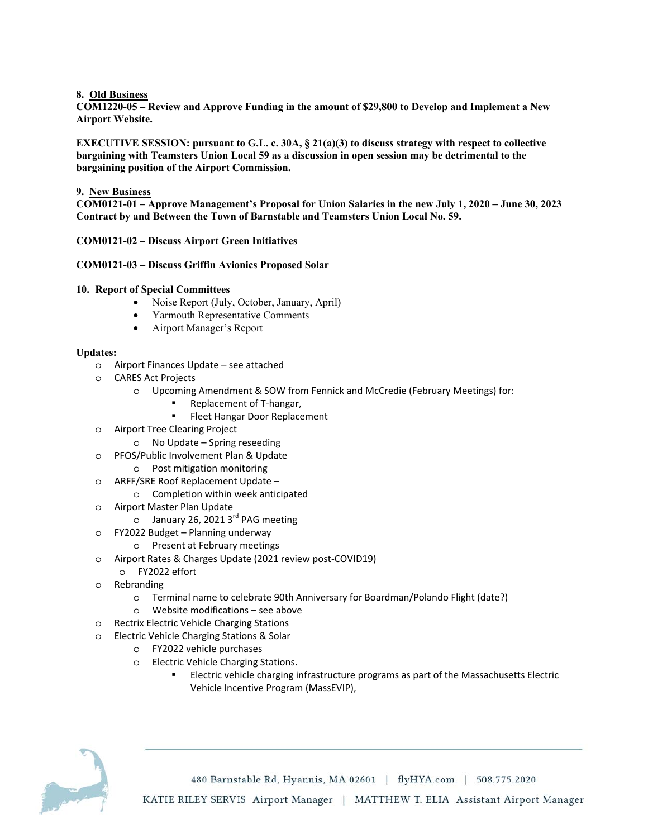**8. Old Business** 

**COM1220-05 – Review and Approve Funding in the amount of \$29,800 to Develop and Implement a New Airport Website.** 

**EXECUTIVE SESSION: pursuant to G.L. c. 30A, § 21(a)(3) to discuss strategy with respect to collective bargaining with Teamsters Union Local 59 as a discussion in open session may be detrimental to the bargaining position of the Airport Commission.** 

### **9. New Business**

**COM0121-01 – Approve Management's Proposal for Union Salaries in the new July 1, 2020 – June 30, 2023 Contract by and Between the Town of Barnstable and Teamsters Union Local No. 59.** 

### **COM0121-02 – Discuss Airport Green Initiatives**

#### **COM0121-03 – Discuss Griffin Avionics Proposed Solar**

#### **10. Report of Special Committees**

- Noise Report (July, October, January, April)
- Yarmouth Representative Comments
- Airport Manager's Report

#### **Updates:**

- o Airport Finances Update see attached
- o CARES Act Projects
	- o Upcoming Amendment & SOW from Fennick and McCredie (February Meetings) for:
		- Replacement of T-hangar,
		- **Fleet Hangar Door Replacement**
- o Airport Tree Clearing Project
	- o No Update Spring reseeding
- o PFOS/Public Involvement Plan & Update
	- o Post mitigation monitoring
- o ARFF/SRE Roof Replacement Update
	- o Completion within week anticipated
- o Airport Master Plan Update
	- $\circ$  January 26, 2021 3<sup>rd</sup> PAG meeting
- o FY2022 Budget Planning underway
	- o Present at February meetings
- o Airport Rates & Charges Update (2021 review post-COVID19)
- o FY2022 effort
- o Rebranding
	- o Terminal name to celebrate 90th Anniversary for Boardman/Polando Flight (date?)
	- o Website modifications see above
- o Rectrix Electric Vehicle Charging Stations
- o Electric Vehicle Charging Stations & Solar
	- o FY2022 vehicle purchases
	- o Electric Vehicle Charging Stations.
		- Electric vehicle charging infrastructure programs as part of the Massachusetts Electric Vehicle Incentive Program (MassEVIP),



480 Barnstable Rd, Hyannis, MA 02601 | flyHYA.com | 508.775.2020 KATIE RILEY SERVIS Airport Manager | MATTHEW T. ELIA Assistant Airport Manager